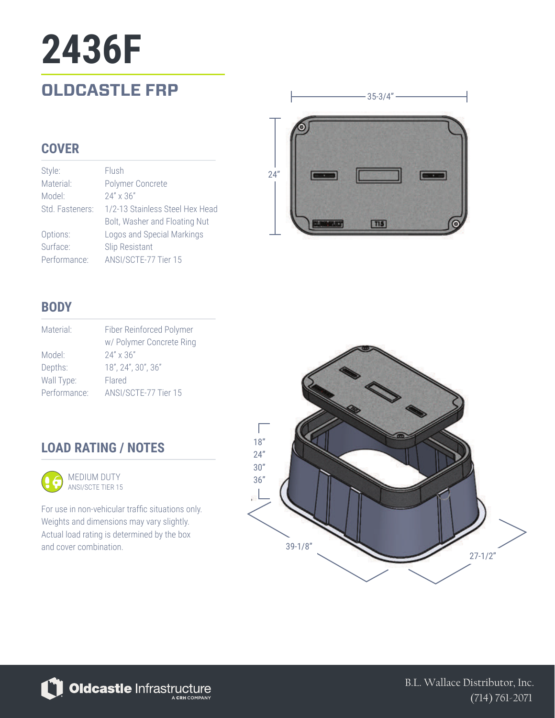## **OLDCASTLE FRP 2436F**

#### **COVER**

| Style:          | Flush                           |
|-----------------|---------------------------------|
| Material:       | Polymer Concrete                |
| Model:          | $24'' \times 36''$              |
| Std. Fasteners: | 1/2-13 Stainless Steel Hex Head |
|                 | Bolt, Washer and Floating Nut   |
| Options:        | Logos and Special Markings      |
| Surface:        | <b>Slip Resistant</b>           |
| Performance:    | ANSI/SCTE-77 Tier 15            |



#### **BODY**

| Material:    | Fiber Reinforced Polymer |
|--------------|--------------------------|
|              | w/ Polymer Concrete Ring |
| Model:       | $24'' \times 36''$       |
| Depths:      | 18", 24", 30", 36"       |
| Wall Type:   | Flared                   |
| Performance: | ANSI/SCTE-77 Tier 15     |

### **LOAD RATING / NOTES**



For use in non-vehicular traffic situations only. Weights and dimensions may vary slightly. Actual load rating is determined by the box and cover combination.



Oldcastle Infrastructure

B.L. Wallace Distributor, Inc. (714) 761-2071